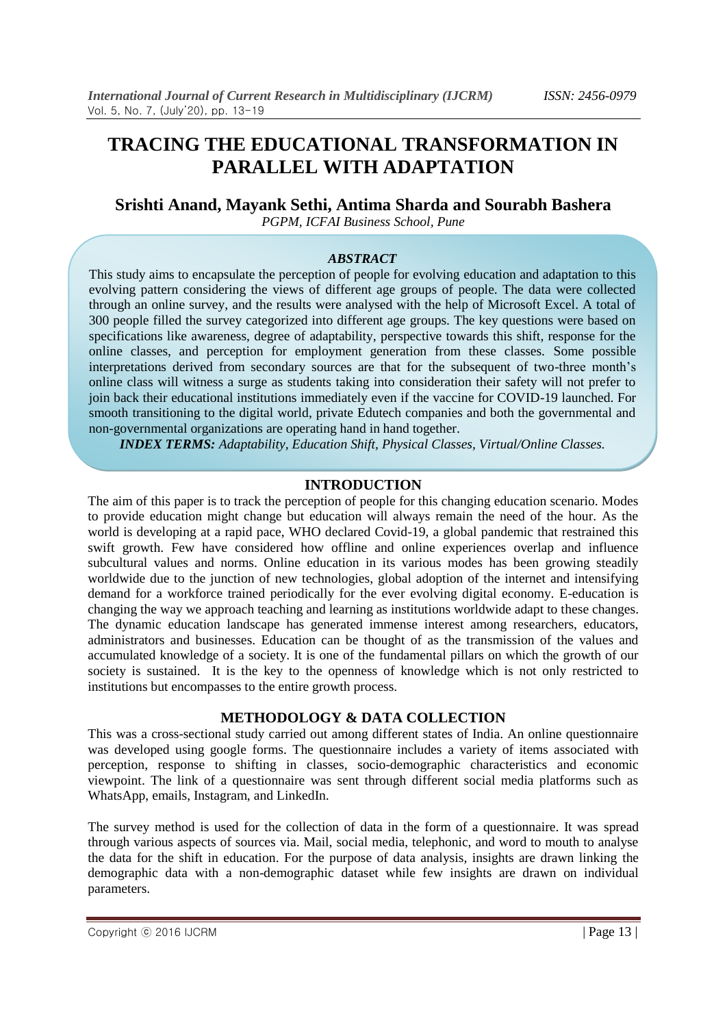# **TRACING THE EDUCATIONAL TRANSFORMATION IN PARALLEL WITH ADAPTATION**

#### **Srishti Anand, Mayank Sethi, Antima Sharda and Sourabh Bashera** *PGPM, ICFAI Business School, Pune*

### *ABSTRACT*

This study aims to encapsulate the perception of people for evolving education and adaptation to this evolving pattern considering the views of different age groups of people. The data were collected through an online survey, and the results were analysed with the help of Microsoft Excel. A total of 300 people filled the survey categorized into different age groups. The key questions were based on specifications like awareness, degree of adaptability, perspective towards this shift, response for the online classes, and perception for employment generation from these classes. Some possible interpretations derived from secondary sources are that for the subsequent of two-three month's online class will witness a surge as students taking into consideration their safety will not prefer to join back their educational institutions immediately even if the vaccine for COVID-19 launched. For smooth transitioning to the digital world, private Edutech companies and both the governmental and non-governmental organizations are operating hand in hand together.

*INDEX TERMS: Adaptability, Education Shift, Physical Classes, Virtual/Online Classes.*

### **INTRODUCTION**

The aim of this paper is to track the perception of people for this changing education scenario. Modes to provide education might change but education will always remain the need of the hour. As the world is developing at a rapid pace, WHO declared Covid-19, a global pandemic that restrained this swift growth. Few have considered how offline and online experiences overlap and influence subcultural values and norms. Online education in its various modes has been growing steadily worldwide due to the junction of new technologies, global adoption of the internet and intensifying demand for a workforce trained periodically for the ever evolving digital economy. E-education is changing the way we approach teaching and learning as institutions worldwide adapt to these changes. The dynamic education landscape has generated immense interest among researchers, educators, administrators and businesses. Education can be thought of as the transmission of the values and accumulated knowledge of a society. It is one of the fundamental pillars on which the growth of our society is sustained. It is the key to the openness of knowledge which is not only restricted to institutions but encompasses to the entire growth process.

# **METHODOLOGY & DATA COLLECTION**

This was a cross-sectional study carried out among different states of India. An online questionnaire was developed using google forms. The questionnaire includes a variety of items associated with perception, response to shifting in classes, socio-demographic characteristics and economic viewpoint. The link of a questionnaire was sent through different social media platforms such as WhatsApp, emails, Instagram, and LinkedIn.

The survey method is used for the collection of data in the form of a questionnaire. It was spread through various aspects of sources via. Mail, social media, telephonic, and word to mouth to analyse the data for the shift in education. For the purpose of data analysis, insights are drawn linking the demographic data with a non-demographic dataset while few insights are drawn on individual parameters.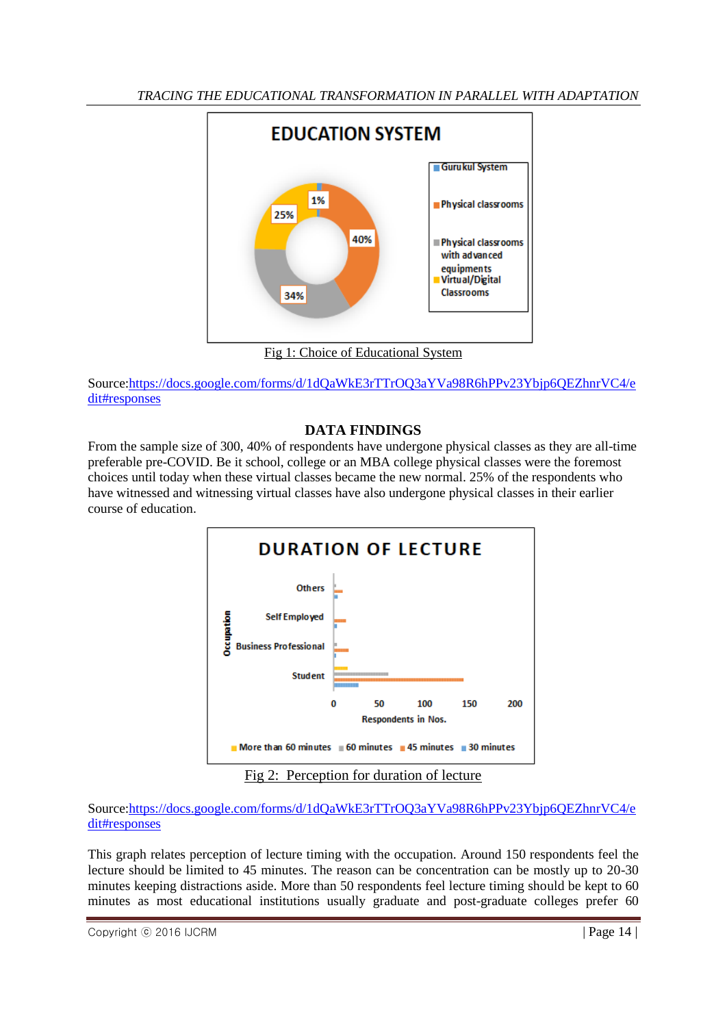

Source[:https://docs.google.com/forms/d/1dQaWkE3rTTrOQ3aYVa98R6hPPv23Ybjp6QEZhnrVC4/e](https://docs.google.com/forms/d/1dQaWkE3rTTrOQ3aYVa98R6hPPv23Ybjp6QEZhnrVC4/edit#responses) [dit#responses](https://docs.google.com/forms/d/1dQaWkE3rTTrOQ3aYVa98R6hPPv23Ybjp6QEZhnrVC4/edit#responses)

# **DATA FINDINGS**

From the sample size of 300, 40% of respondents have undergone physical classes as they are all-time preferable pre-COVID. Be it school, college or an MBA college physical classes were the foremost choices until today when these virtual classes became the new normal. 25% of the respondents who have witnessed and witnessing virtual classes have also undergone physical classes in their earlier course of education.



Source[:https://docs.google.com/forms/d/1dQaWkE3rTTrOQ3aYVa98R6hPPv23Ybjp6QEZhnrVC4/e](https://docs.google.com/forms/d/1dQaWkE3rTTrOQ3aYVa98R6hPPv23Ybjp6QEZhnrVC4/edit#responses) [dit#responses](https://docs.google.com/forms/d/1dQaWkE3rTTrOQ3aYVa98R6hPPv23Ybjp6QEZhnrVC4/edit#responses)

This graph relates perception of lecture timing with the occupation. Around 150 respondents feel the lecture should be limited to 45 minutes. The reason can be concentration can be mostly up to 20-30 minutes keeping distractions aside. More than 50 respondents feel lecture timing should be kept to 60 minutes as most educational institutions usually graduate and post-graduate colleges prefer 60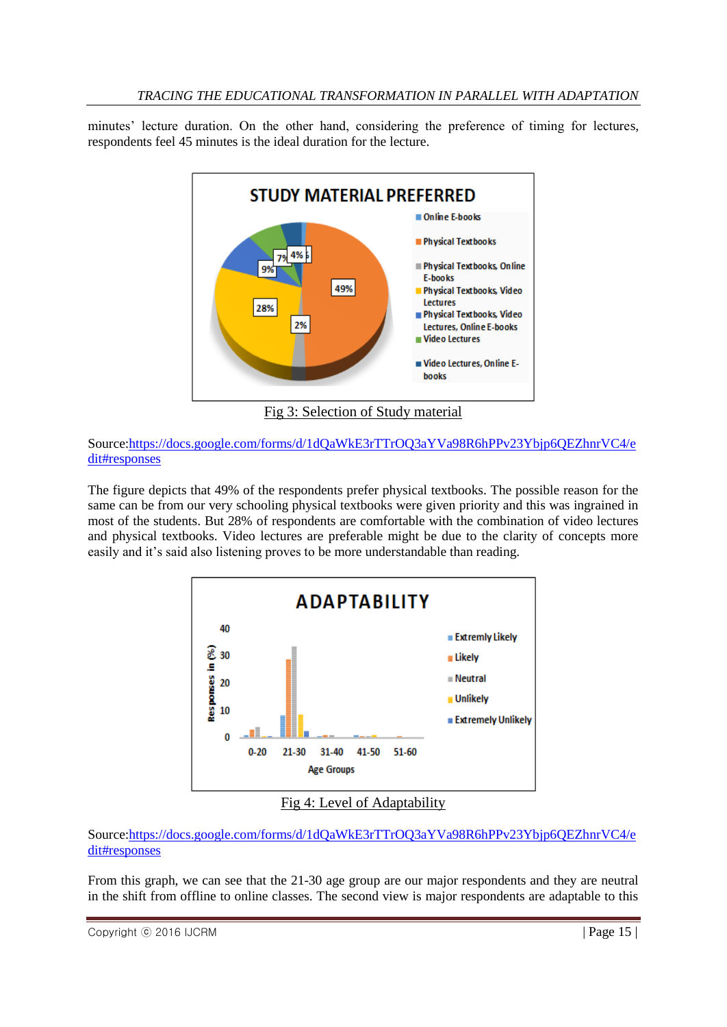minutes' lecture duration. On the other hand, considering the preference of timing for lectures, respondents feel 45 minutes is the ideal duration for the lecture.



Fig 3: Selection of Study material

Source[:https://docs.google.com/forms/d/1dQaWkE3rTTrOQ3aYVa98R6hPPv23Ybjp6QEZhnrVC4/e](https://docs.google.com/forms/d/1dQaWkE3rTTrOQ3aYVa98R6hPPv23Ybjp6QEZhnrVC4/edit#responses) [dit#responses](https://docs.google.com/forms/d/1dQaWkE3rTTrOQ3aYVa98R6hPPv23Ybjp6QEZhnrVC4/edit#responses)

The figure depicts that 49% of the respondents prefer physical textbooks. The possible reason for the same can be from our very schooling physical textbooks were given priority and this was ingrained in most of the students. But 28% of respondents are comfortable with the combination of video lectures and physical textbooks. Video lectures are preferable might be due to the clarity of concepts more easily and it's said also listening proves to be more understandable than reading.



# Fig 4: Level of Adaptability

# Source[:https://docs.google.com/forms/d/1dQaWkE3rTTrOQ3aYVa98R6hPPv23Ybjp6QEZhnrVC4/e](https://docs.google.com/forms/d/1dQaWkE3rTTrOQ3aYVa98R6hPPv23Ybjp6QEZhnrVC4/edit#responses) [dit#responses](https://docs.google.com/forms/d/1dQaWkE3rTTrOQ3aYVa98R6hPPv23Ybjp6QEZhnrVC4/edit#responses)

From this graph, we can see that the 21-30 age group are our major respondents and they are neutral in the shift from offline to online classes. The second view is major respondents are adaptable to this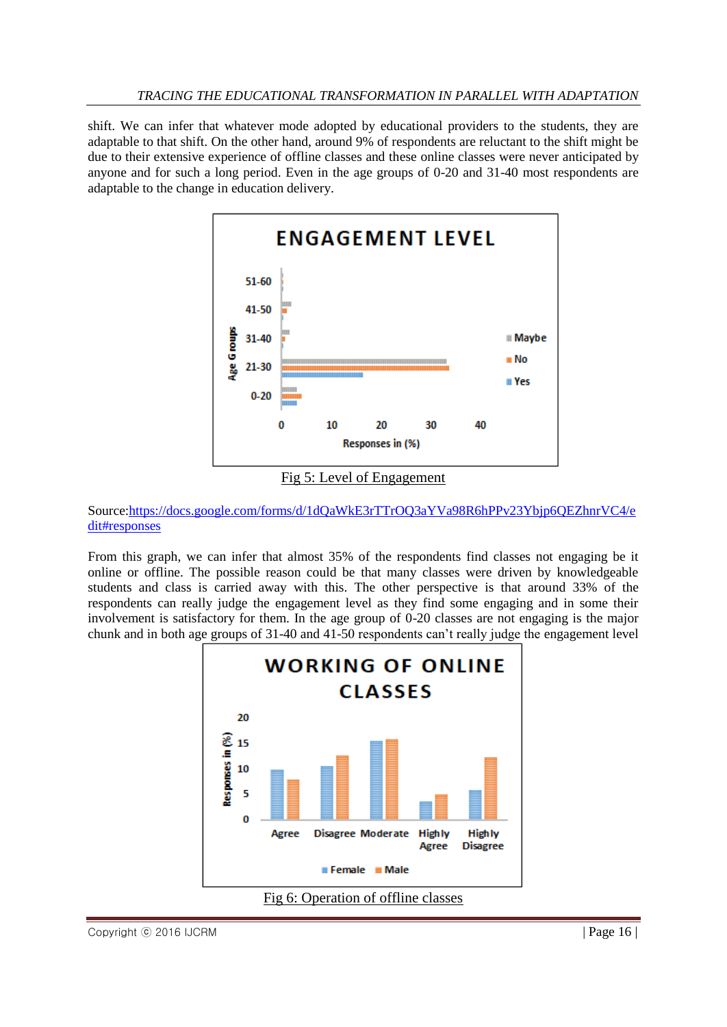shift. We can infer that whatever mode adopted by educational providers to the students, they are adaptable to that shift. On the other hand, around 9% of respondents are reluctant to the shift might be due to their extensive experience of offline classes and these online classes were never anticipated by anyone and for such a long period. Even in the age groups of 0-20 and 31-40 most respondents are adaptable to the change in education delivery.



Fig 5: Level of Engagement

Source[:https://docs.google.com/forms/d/1dQaWkE3rTTrOQ3aYVa98R6hPPv23Ybjp6QEZhnrVC4/e](https://docs.google.com/forms/d/1dQaWkE3rTTrOQ3aYVa98R6hPPv23Ybjp6QEZhnrVC4/edit#responses) [dit#responses](https://docs.google.com/forms/d/1dQaWkE3rTTrOQ3aYVa98R6hPPv23Ybjp6QEZhnrVC4/edit#responses)

From this graph, we can infer that almost 35% of the respondents find classes not engaging be it online or offline. The possible reason could be that many classes were driven by knowledgeable students and class is carried away with this. The other perspective is that around 33% of the respondents can really judge the engagement level as they find some engaging and in some their involvement is satisfactory for them. In the age group of 0-20 classes are not engaging is the major chunk and in both age groups of 31-40 and 41-50 respondents can't really judge the engagement level

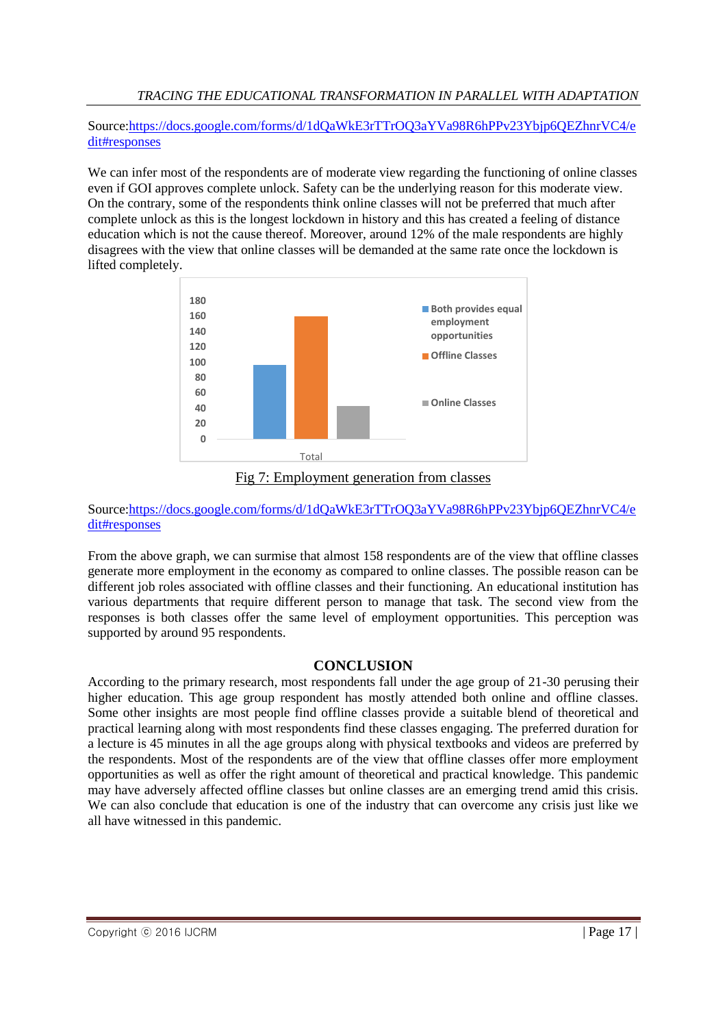Source[:https://docs.google.com/forms/d/1dQaWkE3rTTrOQ3aYVa98R6hPPv23Ybjp6QEZhnrVC4/e](https://docs.google.com/forms/d/1dQaWkE3rTTrOQ3aYVa98R6hPPv23Ybjp6QEZhnrVC4/edit#responses) [dit#responses](https://docs.google.com/forms/d/1dQaWkE3rTTrOQ3aYVa98R6hPPv23Ybjp6QEZhnrVC4/edit#responses)

We can infer most of the respondents are of moderate view regarding the functioning of online classes even if GOI approves complete unlock. Safety can be the underlying reason for this moderate view. On the contrary, some of the respondents think online classes will not be preferred that much after complete unlock as this is the longest lockdown in history and this has created a feeling of distance education which is not the cause thereof. Moreover, around 12% of the male respondents are highly disagrees with the view that online classes will be demanded at the same rate once the lockdown is lifted completely.



Fig 7: Employment generation from classes

# Source[:https://docs.google.com/forms/d/1dQaWkE3rTTrOQ3aYVa98R6hPPv23Ybjp6QEZhnrVC4/e](https://docs.google.com/forms/d/1dQaWkE3rTTrOQ3aYVa98R6hPPv23Ybjp6QEZhnrVC4/edit#responses) [dit#responses](https://docs.google.com/forms/d/1dQaWkE3rTTrOQ3aYVa98R6hPPv23Ybjp6QEZhnrVC4/edit#responses)

From the above graph, we can surmise that almost 158 respondents are of the view that offline classes generate more employment in the economy as compared to online classes. The possible reason can be different job roles associated with offline classes and their functioning. An educational institution has various departments that require different person to manage that task. The second view from the responses is both classes offer the same level of employment opportunities. This perception was supported by around 95 respondents.

# **CONCLUSION**

According to the primary research, most respondents fall under the age group of 21-30 perusing their higher education. This age group respondent has mostly attended both online and offline classes. Some other insights are most people find offline classes provide a suitable blend of theoretical and practical learning along with most respondents find these classes engaging. The preferred duration for a lecture is 45 minutes in all the age groups along with physical textbooks and videos are preferred by the respondents. Most of the respondents are of the view that offline classes offer more employment opportunities as well as offer the right amount of theoretical and practical knowledge. This pandemic may have adversely affected offline classes but online classes are an emerging trend amid this crisis. We can also conclude that education is one of the industry that can overcome any crisis just like we all have witnessed in this pandemic.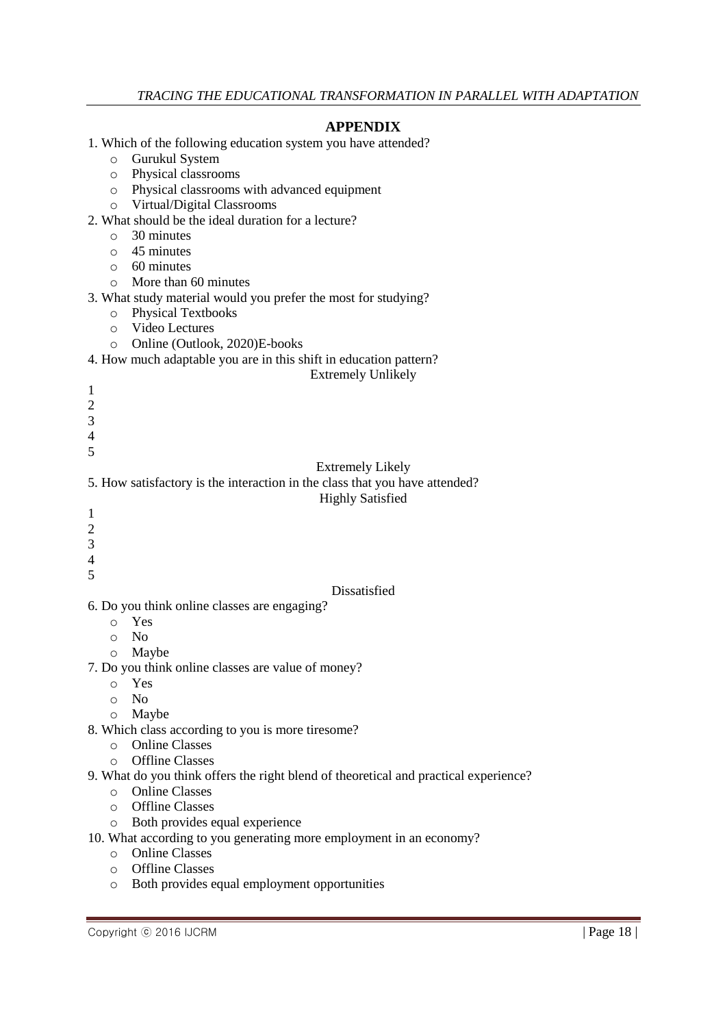# **APPENDIX**

- 1. Which of the following education system you have attended?
	- o Gurukul System
	- o Physical classrooms
	- o Physical classrooms with advanced equipment
	- o Virtual/Digital Classrooms
- 2. What should be the ideal duration for a lecture?
	- o 30 minutes
	- $\circ$  45 minutes
	- o 60 minutes
	- o More than 60 minutes
- 3. What study material would you prefer the most for studying?
	- o Physical Textbooks
	- o Video Lectures
	- o Online (Outlook, 2020)E-books

### 4. How much adaptable you are in this shift in education pattern?

#### Extremely Unlikely

- $\mathcal{L}$
- 3 4

1

5

Extremely Likely

# 5. How satisfactory is the interaction in the class that you have attended?

# Highly Satisfied

- 1
- $\overline{2}$
- 3
- 4 5
- 

# Dissatisfied

- 6. Do you think online classes are engaging?
	- o Yes
	- o No
	- o Maybe
- 7. Do you think online classes are value of money?
	- o Yes
	- o No
	- o Maybe
- 8. Which class according to you is more tiresome?
	- o Online Classes
	- o Offline Classes
- 9. What do you think offers the right blend of theoretical and practical experience?
	- o Online Classes
	- o Offline Classes
	- o Both provides equal experience
- 10. What according to you generating more employment in an economy?
	- o Online Classes
	- o Offline Classes
	- o Both provides equal employment opportunities